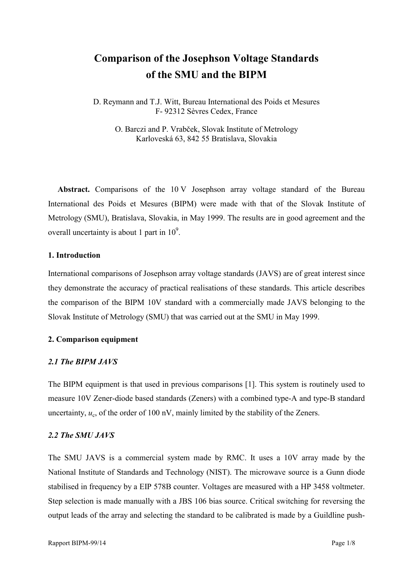# **Comparison of the Josephson Voltage Standards of the SMU and the BIPM**

D. Reymann and T.J. Witt, Bureau International des Poids et Mesures F- 92312 Sèvres Cedex, France

O. Barczi and P. Vrabček, Slovak Institute of Metrology Karloveská 63, 842 55 Bratislava, Slovakia

Abstract. Comparisons of the 10 V Josephson array voltage standard of the Bureau International des Poids et Mesures (BIPM) were made with that of the Slovak Institute of Metrology (SMU), Bratislava, Slovakia, in May 1999. The results are in good agreement and the overall uncertainty is about 1 part in  $10^9$ .

## **1. Introduction**

International comparisons of Josephson array voltage standards (JAVS) are of great interest since they demonstrate the accuracy of practical realisations of these standards. This article describes the comparison of the BIPM 10V standard with a commercially made JAVS belonging to the Slovak Institute of Metrology (SMU) that was carried out at the SMU in May 1999.

# **2. Comparison equipment**

# *2.1 The BIPM JAVS*

The BIPM equipment is that used in previous comparisons [1]. This system is routinely used to measure 10V Zener-diode based standards (Zeners) with a combined type-A and type-B standard uncertainty,  $u_c$ , of the order of 100 nV, mainly limited by the stability of the Zeners.

# *2.2 The SMU JAVS*

The SMU JAVS is a commercial system made by RMC. It uses a 10V array made by the National Institute of Standards and Technology (NIST). The microwave source is a Gunn diode stabilised in frequency by a EIP 578B counter. Voltages are measured with a HP 3458 voltmeter. Step selection is made manually with a JBS 106 bias source. Critical switching for reversing the output leads of the array and selecting the standard to be calibrated is made by a Guildline push-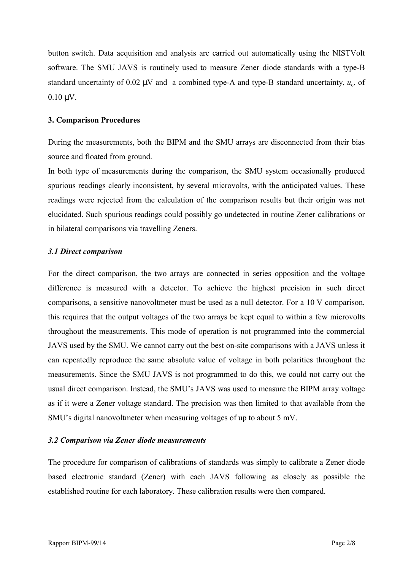button switch. Data acquisition and analysis are carried out automatically using the NISTVolt software. The SMU JAVS is routinely used to measure Zener diode standards with a type-B standard uncertainty of 0.02  $\mu$ V and a combined type-A and type-B standard uncertainty,  $u_c$ , of  $0.10 \mu V$ .

#### **3. Comparison Procedures**

During the measurements, both the BIPM and the SMU arrays are disconnected from their bias source and floated from ground.

In both type of measurements during the comparison, the SMU system occasionally produced spurious readings clearly inconsistent, by several microvolts, with the anticipated values. These readings were rejected from the calculation of the comparison results but their origin was not elucidated. Such spurious readings could possibly go undetected in routine Zener calibrations or in bilateral comparisons via travelling Zeners.

#### *3.1 Direct comparison*

For the direct comparison, the two arrays are connected in series opposition and the voltage difference is measured with a detector. To achieve the highest precision in such direct comparisons, a sensitive nanovoltmeter must be used as a null detector. For a 10 V comparison, this requires that the output voltages of the two arrays be kept equal to within a few microvolts throughout the measurements. This mode of operation is not programmed into the commercial JAVS used by the SMU. We cannot carry out the best on-site comparisons with a JAVS unless it can repeatedly reproduce the same absolute value of voltage in both polarities throughout the measurements. Since the SMU JAVS is not programmed to do this, we could not carry out the usual direct comparison. Instead, the SMU's JAVS was used to measure the BIPM array voltage as if it were a Zener voltage standard. The precision was then limited to that available from the SMU's digital nanovoltmeter when measuring voltages of up to about 5 mV.

#### *3.2 Comparison via Zener diode measurements*

The procedure for comparison of calibrations of standards was simply to calibrate a Zener diode based electronic standard (Zener) with each JAVS following as closely as possible the established routine for each laboratory. These calibration results were then compared.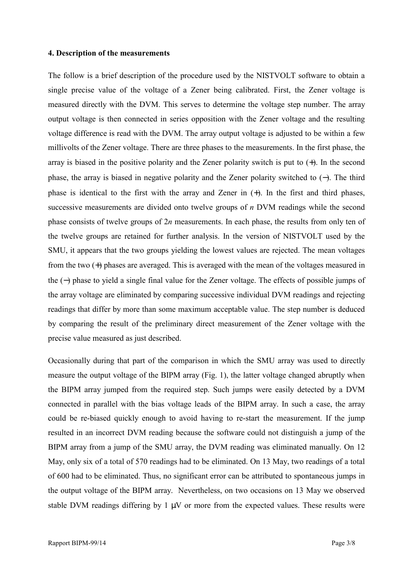#### **4. Description of the measurements**

The follow is a brief description of the procedure used by the NISTVOLT software to obtain a single precise value of the voltage of a Zener being calibrated. First, the Zener voltage is measured directly with the DVM. This serves to determine the voltage step number. The array output voltage is then connected in series opposition with the Zener voltage and the resulting voltage difference is read with the DVM. The array output voltage is adjusted to be within a few millivolts of the Zener voltage. There are three phases to the measurements. In the first phase, the array is biased in the positive polarity and the Zener polarity switch is put to (+). In the second phase, the array is biased in negative polarity and the Zener polarity switched to (−). The third phase is identical to the first with the array and Zener in (+). In the first and third phases, successive measurements are divided onto twelve groups of *n* DVM readings while the second phase consists of twelve groups of 2*n* measurements. In each phase, the results from only ten of the twelve groups are retained for further analysis. In the version of NISTVOLT used by the SMU, it appears that the two groups yielding the lowest values are rejected. The mean voltages from the two (+) phases are averaged. This is averaged with the mean of the voltages measured in the (−) phase to yield a single final value for the Zener voltage. The effects of possible jumps of the array voltage are eliminated by comparing successive individual DVM readings and rejecting readings that differ by more than some maximum acceptable value. The step number is deduced by comparing the result of the preliminary direct measurement of the Zener voltage with the precise value measured as just described.

Occasionally during that part of the comparison in which the SMU array was used to directly measure the output voltage of the BIPM array (Fig. 1), the latter voltage changed abruptly when the BIPM array jumped from the required step. Such jumps were easily detected by a DVM connected in parallel with the bias voltage leads of the BIPM array. In such a case, the array could be re-biased quickly enough to avoid having to re-start the measurement. If the jump resulted in an incorrect DVM reading because the software could not distinguish a jump of the BIPM array from a jump of the SMU array, the DVM reading was eliminated manually. On 12 May, only six of a total of 570 readings had to be eliminated. On 13 May, two readings of a total of 600 had to be eliminated. Thus, no significant error can be attributed to spontaneous jumps in the output voltage of the BIPM array. Nevertheless, on two occasions on 13 May we observed stable DVM readings differing by  $1 \mu V$  or more from the expected values. These results were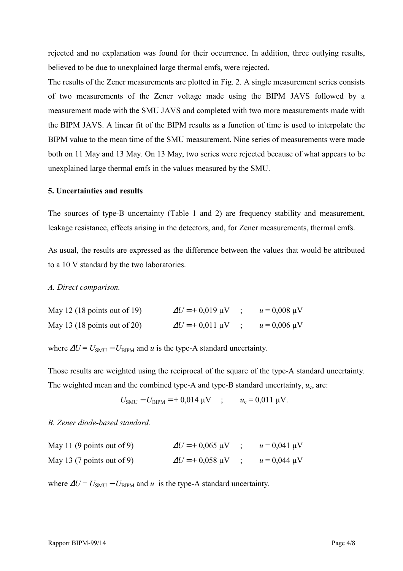rejected and no explanation was found for their occurrence. In addition, three outlying results, believed to be due to unexplained large thermal emfs, were rejected.

The results of the Zener measurements are plotted in Fig. 2. A single measurement series consists of two measurements of the Zener voltage made using the BIPM JAVS followed by a measurement made with the SMU JAVS and completed with two more measurements made with the BIPM JAVS. A linear fit of the BIPM results as a function of time is used to interpolate the BIPM value to the mean time of the SMU measurement. Nine series of measurements were made both on 11 May and 13 May. On 13 May, two series were rejected because of what appears to be unexplained large thermal emfs in the values measured by the SMU.

## **5. Uncertainties and results**

The sources of type-B uncertainty (Table 1 and 2) are frequency stability and measurement, leakage resistance, effects arising in the detectors, and, for Zener measurements, thermal emfs.

As usual, the results are expressed as the difference between the values that would be attributed to a 10 V standard by the two laboratories.

#### *A. Direct comparison.*

| May 12 (18 points out of 19) | $\Delta U = +0.019 \,\mu V$             | $u = 0,008 \text{ }\mu\text{V}$ |
|------------------------------|-----------------------------------------|---------------------------------|
| May 13 (18 points out of 20) | $\Delta U = +0.011 \text{ }\mu\text{V}$ | $u = 0,006 \text{ }\mu\text{V}$ |

where  $\Delta U = U_{\text{SMI}} - U_{\text{BIPM}}$  and *u* is the type-A standard uncertainty.

Those results are weighted using the reciprocal of the square of the type-A standard uncertainty. The weighted mean and the combined type-A and type-B standard uncertainty,  $u_c$ , are:

$$
U_{\text{SMU}} - U_{\text{BIPM}} = +0.014 \, \mu \text{V} \quad ; \qquad u_{\text{c}} = 0.011 \, \mu \text{V}.
$$

#### *B. Zener diode-based standard.*

| May 11 (9 points out of 9) | $\Delta U = +0.065 \text{ }\mu\text{V}$ | $u = 0.041 \text{ }\mu\text{V}$ |
|----------------------------|-----------------------------------------|---------------------------------|
| May 13 (7 points out of 9) | $\Delta U = +0.058 \text{ }\mu\text{V}$ | $u = 0.044 \mu V$               |

where  $\Delta U = U_{\text{SMI}} - U_{\text{BIPM}}$  and *u* is the type-A standard uncertainty.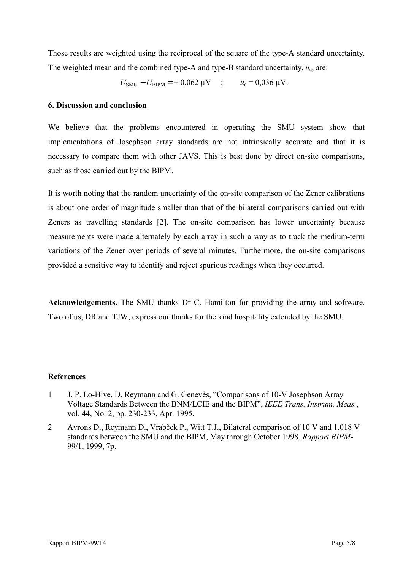Those results are weighted using the reciprocal of the square of the type-A standard uncertainty. The weighted mean and the combined type-A and type-B standard uncertainty,  $u_c$ , are:

 $U_{\text{SMU}} - U_{\text{BIPM}} = +0.062 \text{ }\mu\text{V}$  ;  $u_{\text{c}} = 0.036 \text{ }\mu\text{V}$ .

## **6. Discussion and conclusion**

We believe that the problems encountered in operating the SMU system show that implementations of Josephson array standards are not intrinsically accurate and that it is necessary to compare them with other JAVS. This is best done by direct on-site comparisons, such as those carried out by the BIPM.

It is worth noting that the random uncertainty of the on-site comparison of the Zener calibrations is about one order of magnitude smaller than that of the bilateral comparisons carried out with Zeners as travelling standards [2]. The on-site comparison has lower uncertainty because measurements were made alternately by each array in such a way as to track the medium-term variations of the Zener over periods of several minutes. Furthermore, the on-site comparisons provided a sensitive way to identify and reject spurious readings when they occurred.

**Acknowledgements.** The SMU thanks Dr C. Hamilton for providing the array and software. Two of us, DR and TJW, express our thanks for the kind hospitality extended by the SMU.

#### **References**

- 1 J. P. Lo-Hive, D. Reymann and G. Genevès, "Comparisons of 10-V Josephson Array Voltage Standards Between the BNM/LCIE and the BIPMî, *IEEE Trans. Instrum. Meas.*, vol. 44, No. 2, pp. 230-233, Apr. 1995.
- 2 Avrons D., Reymann D., Vrabček P., Witt T.J., Bilateral comparison of 10 V and 1.018 V standards between the SMU and the BIPM, May through October 1998, *Rapport BIPM*-99/1, 1999, 7p.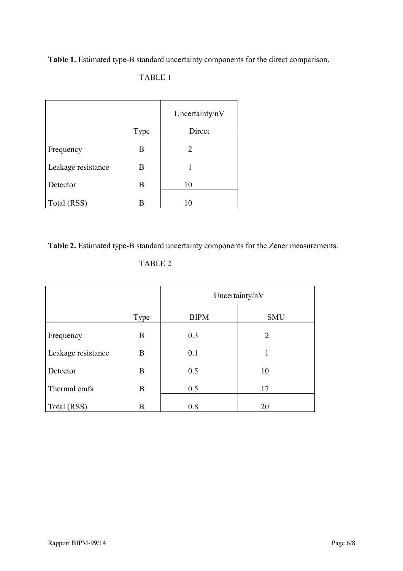**Table 1.** Estimated type-B standard uncertainty components for the direct comparison.

# TABLE 1

|                    |      | Uncertainty/nV |  |
|--------------------|------|----------------|--|
|                    | Type | Direct         |  |
| Frequency          | B    | 2              |  |
| Leakage resistance | B    |                |  |
| Detector           | B    | 10             |  |
| Total (RSS)        |      | 10             |  |

**Table 2.** Estimated type-B standard uncertainty components for the Zener measurements.

| ı.<br>۱ |  |
|---------|--|
|---------|--|

|                    |      | Uncertainty/nV |                |
|--------------------|------|----------------|----------------|
|                    | Type | <b>BIPM</b>    | <b>SMU</b>     |
| Frequency          | B    | 0.3            | $\overline{2}$ |
| Leakage resistance | B    | 0.1            | 1              |
| Detector           | B    | 0.5            | 10             |
| Thermal emfs       | B    | 0.5            | 17             |
| Total (RSS)        | B    | 0.8            | 20             |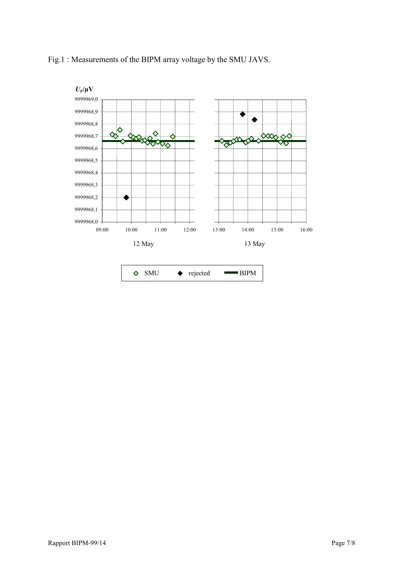

# Fig.1 : Measurements of the BIPM array voltage by the SMU JAVS.